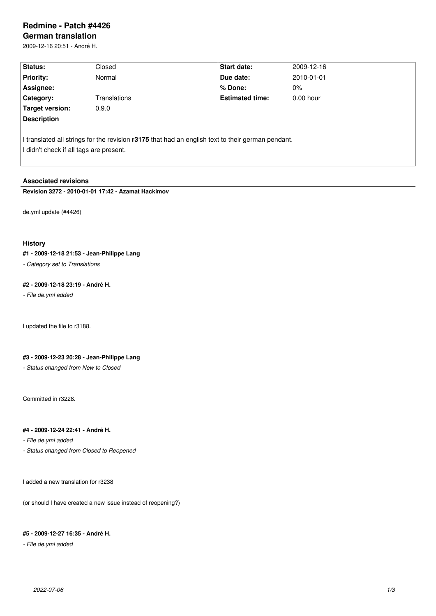# **Redmine - Patch #4426**

**German translation** 2009-12-16 20:51 - André H.

| Status:                                 | Closed       | <b>Start date:</b>                                                                                | 2009-12-16  |  |
|-----------------------------------------|--------------|---------------------------------------------------------------------------------------------------|-------------|--|
| <b>Priority:</b>                        | Normal       | Due date:                                                                                         | 2010-01-01  |  |
| Assignee:                               |              | % Done:                                                                                           | $0\%$       |  |
| Category:                               | Translations | <b>Estimated time:</b>                                                                            | $0.00$ hour |  |
| Target version:                         | 0.9.0        |                                                                                                   |             |  |
| <b>Description</b>                      |              |                                                                                                   |             |  |
| I didn't check if all tags are present. |              | I translated all strings for the revision r3175 that had an english text to their german pendant. |             |  |

## **Associated revisions**

**Revision 3272 - 2010-01-01 17:42 - Azamat Hackimov**

de.yml update (#4426)

### **History**

# **#1 - 2009-12-18 21:53 - Jean-Philippe Lang**

*- Category set to Translations*

# **#2 - 2009-12-18 23:19 - André H.**

*- File de.yml added*

I updated the file to r3188.

# **#3 - 2009-12-23 20:28 - Jean-Philippe Lang**

*- Status changed from New to Closed*

Committed in r3228.

# **#4 - 2009-12-24 22:41 - André H.**

*- File de.yml added*

*- Status changed from Closed to Reopened*

I added a new translation for r3238

(or should I have created a new issue instead of reopening?)

### **#5 - 2009-12-27 16:35 - André H.**

*- File de.yml added*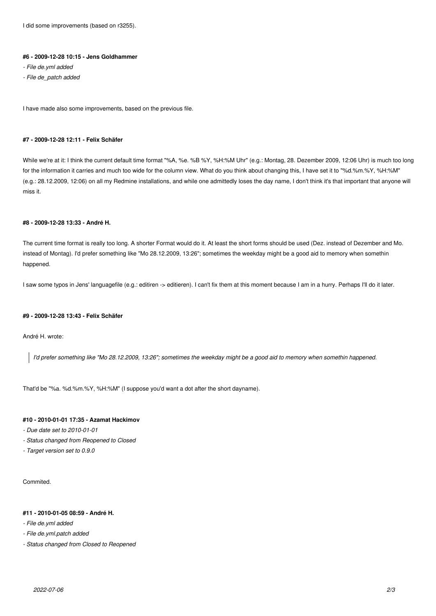I did some improvements (based on r3255).

#### **#6 - 2009-12-28 10:15 - Jens Goldhammer**

- *File de.yml added*
- *File de\_patch added*

I have made also some improvements, based on the previous file.

#### **#7 - 2009-12-28 12:11 - Felix Schäfer**

While we're at it: I think the current default time format "%A, %e. %B %Y, %H:%M Uhr" (e.g.: Montag, 28. Dezember 2009, 12:06 Uhr) is much too long for the information it carries and much too wide for the column view. What do you think about changing this, I have set it to "%d.%m.%Y, %H:%M" (e.g.: 28.12.2009, 12:06) on all my Redmine installations, and while one admittedly loses the day name, I don't think it's that important that anyone will miss it.

### **#8 - 2009-12-28 13:33 - André H.**

The current time format is really too long. A shorter Format would do it. At least the short forms should be used (Dez. instead of Dezember and Mo. instead of Montag). I'd prefer something like "Mo 28.12.2009, 13:26"; sometimes the weekday might be a good aid to memory when somethin happened.

I saw some typos in Jens' languagefile (e.g.: editiren -> editieren). I can't fix them at this moment because I am in a hurry. Perhaps I'll do it later.

#### **#9 - 2009-12-28 13:43 - Felix Schäfer**

André H. wrote:

*I'd prefer something like "Mo 28.12.2009, 13:26"; sometimes the weekday might be a good aid to memory when somethin happened.*

That'd be "%a. %d.%m.%Y, %H:%M" (I suppose you'd want a dot after the short dayname).

# **#10 - 2010-01-01 17:35 - Azamat Hackimov**

- *Due date set to 2010-01-01*
- *Status changed from Reopened to Closed*
- *Target version set to 0.9.0*

Commited.

#### **#11 - 2010-01-05 08:59 - André H.**

- *File de.yml added*
- *File de.yml.patch added*
- *Status changed from Closed to Reopened*